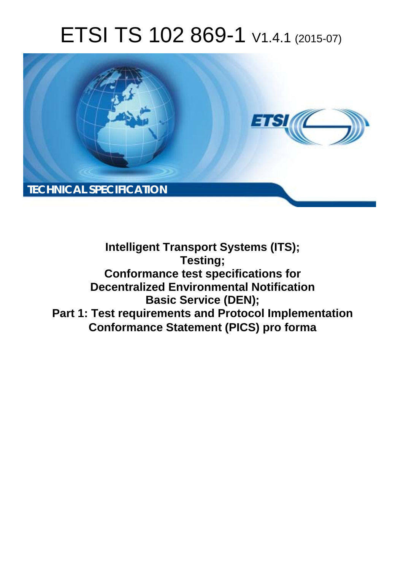# ETSI TS 102 869-1 V1.4.1 (2015-07)



**Intelligent Transport Systems (ITS); Testing; Conformance test specifications for Decentralized Environmental Notification Basic Service (DEN); Part 1: Test requirements and Protocol Implementation Conformance Statement (PICS) pro forma**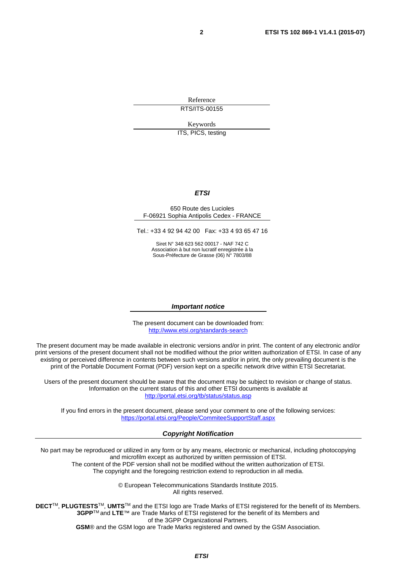Reference RTS/ITS-00155

Keywords

ITS, PICS, testing

### *ETSI*

#### 650 Route des Lucioles F-06921 Sophia Antipolis Cedex - FRANCE

Tel.: +33 4 92 94 42 00 Fax: +33 4 93 65 47 16

Siret N° 348 623 562 00017 - NAF 742 C Association à but non lucratif enregistrée à la Sous-Préfecture de Grasse (06) N° 7803/88

#### *Important notice*

The present document can be downloaded from: <http://www.etsi.org/standards-search>

The present document may be made available in electronic versions and/or in print. The content of any electronic and/or print versions of the present document shall not be modified without the prior written authorization of ETSI. In case of any existing or perceived difference in contents between such versions and/or in print, the only prevailing document is the print of the Portable Document Format (PDF) version kept on a specific network drive within ETSI Secretariat.

Users of the present document should be aware that the document may be subject to revision or change of status. Information on the current status of this and other ETSI documents is available at <http://portal.etsi.org/tb/status/status.asp>

If you find errors in the present document, please send your comment to one of the following services: <https://portal.etsi.org/People/CommiteeSupportStaff.aspx>

#### *Copyright Notification*

No part may be reproduced or utilized in any form or by any means, electronic or mechanical, including photocopying and microfilm except as authorized by written permission of ETSI.

The content of the PDF version shall not be modified without the written authorization of ETSI. The copyright and the foregoing restriction extend to reproduction in all media.

> © European Telecommunications Standards Institute 2015. All rights reserved.

**DECT**TM, **PLUGTESTS**TM, **UMTS**TM and the ETSI logo are Trade Marks of ETSI registered for the benefit of its Members. **3GPP**TM and **LTE**™ are Trade Marks of ETSI registered for the benefit of its Members and of the 3GPP Organizational Partners.

**GSM**® and the GSM logo are Trade Marks registered and owned by the GSM Association.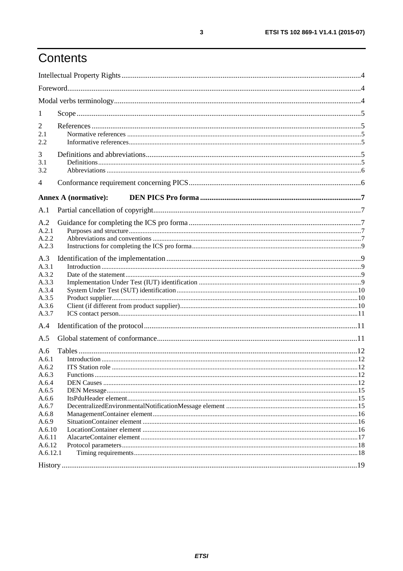# Contents

| 1                                                                  |                             |  |
|--------------------------------------------------------------------|-----------------------------|--|
| 2<br>2.1<br>2.2                                                    |                             |  |
| 3<br>3.1<br>3.2                                                    |                             |  |
| 4                                                                  |                             |  |
|                                                                    | <b>Annex A (normative):</b> |  |
| A.1                                                                |                             |  |
| A.2<br>A.2.1<br>A.2.2<br>A.2.3                                     |                             |  |
| A.3<br>A.3.1<br>A.3.2<br>A.3.3<br>A.3.4<br>A.3.5<br>A.3.6<br>A.3.7 |                             |  |
| A.4                                                                |                             |  |
| A.5<br>A.6<br>A.6.1                                                |                             |  |
| A.6.2<br>A.6.3<br>A.6.4<br>A.6.5                                   |                             |  |
| A.6.6<br>A.6.7<br>A.6.8                                            |                             |  |
| A.6.9<br>A.6.10<br>A.6.11<br>A.6.12                                |                             |  |
| A.6.12.1                                                           |                             |  |
|                                                                    |                             |  |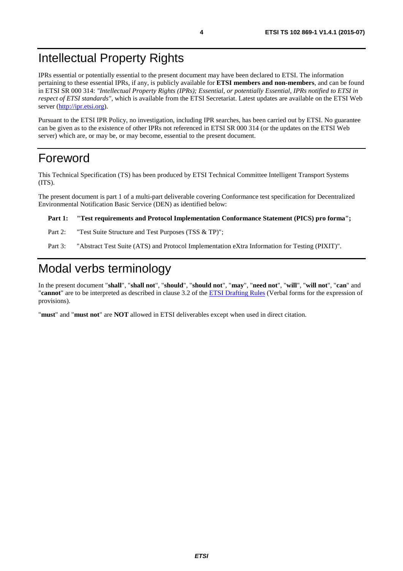# <span id="page-3-0"></span>Intellectual Property Rights

IPRs essential or potentially essential to the present document may have been declared to ETSI. The information pertaining to these essential IPRs, if any, is publicly available for **ETSI members and non-members**, and can be found in ETSI SR 000 314: *"Intellectual Property Rights (IPRs); Essential, or potentially Essential, IPRs notified to ETSI in respect of ETSI standards"*, which is available from the ETSI Secretariat. Latest updates are available on the ETSI Web server ([http://ipr.etsi.org\)](http://webapp.etsi.org/IPR/home.asp).

Pursuant to the ETSI IPR Policy, no investigation, including IPR searches, has been carried out by ETSI. No guarantee can be given as to the existence of other IPRs not referenced in ETSI SR 000 314 (or the updates on the ETSI Web server) which are, or may be, or may become, essential to the present document.

### Foreword

This Technical Specification (TS) has been produced by ETSI Technical Committee Intelligent Transport Systems (ITS).

The present document is part 1 of a multi-part deliverable covering Conformance test specification for Decentralized Environmental Notification Basic Service (DEN) as identified below:

### **Part 1: "Test requirements and Protocol Implementation Conformance Statement (PICS) pro forma";**

- Part 2: "Test Suite Structure and Test Purposes (TSS & TP)";
- Part 3: "Abstract Test Suite (ATS) and Protocol Implementation eXtra Information for Testing (PIXIT)".

# Modal verbs terminology

In the present document "**shall**", "**shall not**", "**should**", "**should not**", "**may**", "**need not**", "**will**", "**will not**", "**can**" and "**cannot**" are to be interpreted as described in clause 3.2 of the [ETSI Drafting Rules](http://portal.etsi.org/Help/editHelp!/Howtostart/ETSIDraftingRules.aspx) (Verbal forms for the expression of provisions).

"**must**" and "**must not**" are **NOT** allowed in ETSI deliverables except when used in direct citation.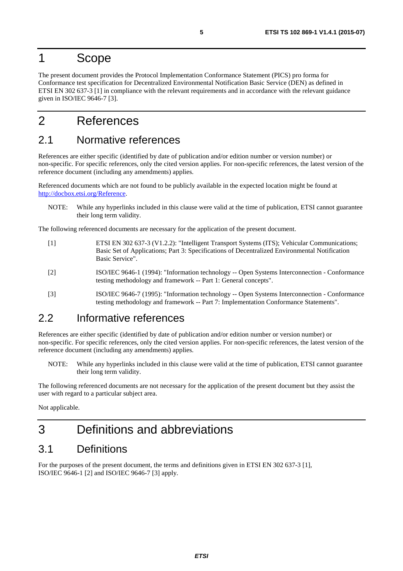### <span id="page-4-0"></span>1 Scope

The present document provides the Protocol Implementation Conformance Statement (PICS) pro forma for Conformance test specification for Decentralized Environmental Notification Basic Service (DEN) as defined in ETSI EN 302 637-3 [1] in compliance with the relevant requirements and in accordance with the relevant guidance given in ISO/IEC 9646-7 [3].

# 2 References

### 2.1 Normative references

References are either specific (identified by date of publication and/or edition number or version number) or non-specific. For specific references, only the cited version applies. For non-specific references, the latest version of the reference document (including any amendments) applies.

Referenced documents which are not found to be publicly available in the expected location might be found at <http://docbox.etsi.org/Reference>.

NOTE: While any hyperlinks included in this clause were valid at the time of publication, ETSI cannot guarantee their long term validity.

The following referenced documents are necessary for the application of the present document.

- [1] ETSI EN 302 637-3 (V1.2.2): "Intelligent Transport Systems (ITS); Vehicular Communications; Basic Set of Applications; Part 3: Specifications of Decentralized Environmental Notification Basic Service".
- [2] ISO/IEC 9646-1 (1994): "Information technology -- Open Systems Interconnection Conformance testing methodology and framework -- Part 1: General concepts".
- [3] ISO/IEC 9646-7 (1995): "Information technology -- Open Systems Interconnection Conformance testing methodology and framework -- Part 7: Implementation Conformance Statements".

### 2.2 Informative references

References are either specific (identified by date of publication and/or edition number or version number) or non-specific. For specific references, only the cited version applies. For non-specific references, the latest version of the reference document (including any amendments) applies.

NOTE: While any hyperlinks included in this clause were valid at the time of publication, ETSI cannot guarantee their long term validity.

The following referenced documents are not necessary for the application of the present document but they assist the user with regard to a particular subject area.

Not applicable.

# 3 Definitions and abbreviations

### 3.1 Definitions

For the purposes of the present document, the terms and definitions given in ETSI EN 302 637-3 [1], ISO/IEC 9646-1 [2] and ISO/IEC 9646-7 [3] apply.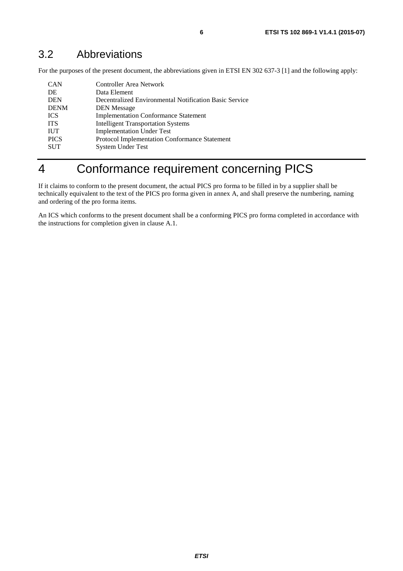### <span id="page-5-0"></span>3.2 Abbreviations

For the purposes of the present document, the abbreviations given in ETSI EN 302 637-3 [\[1](#page-4-0)] and the following apply:

| <b>CAN</b>  | Controller Area Network                                |
|-------------|--------------------------------------------------------|
| DE          | Data Element                                           |
| <b>DEN</b>  | Decentralized Environmental Notification Basic Service |
| <b>DENM</b> | <b>DEN</b> Message                                     |
| <b>ICS</b>  | <b>Implementation Conformance Statement</b>            |
| <b>ITS</b>  | <b>Intelligent Transportation Systems</b>              |
| <b>IUT</b>  | <b>Implementation Under Test</b>                       |
| <b>PICS</b> | <b>Protocol Implementation Conformance Statement</b>   |
| <b>SUT</b>  | <b>System Under Test</b>                               |
|             |                                                        |

# 4 Conformance requirement concerning PICS

If it claims to conform to the present document, the actual PICS pro forma to be filled in by a supplier shall be technically equivalent to the text of the PICS pro forma given in annex A, and shall preserve the numbering, naming and ordering of the pro forma items.

An ICS which conforms to the present document shall be a conforming PICS pro forma completed in accordance with the instructions for completion given in clause A.1.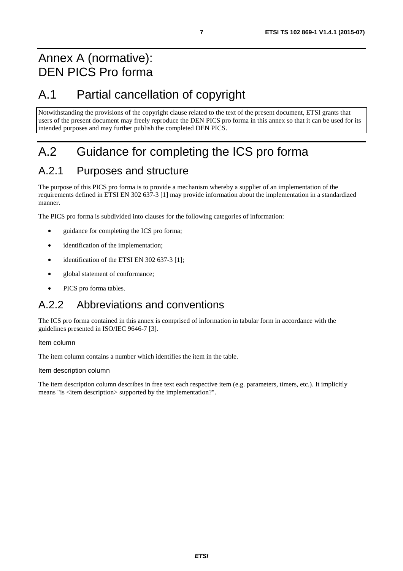# <span id="page-6-0"></span>Annex A (normative): DEN PICS Pro forma

# A.1 Partial cancellation of copyright

Notwithstanding the provisions of the copyright clause related to the text of the present document, ETSI grants that users of the present document may freely reproduce the DEN PICS pro forma in this annex so that it can be used for its intended purposes and may further publish the completed DEN PICS.

# A.2 Guidance for completing the ICS pro forma

# A.2.1 Purposes and structure

The purpose of this PICS pro forma is to provide a mechanism whereby a supplier of an implementation of the requirements defined in ETSI EN 302 637-3 [\[1](#page-4-0)] may provide information about the implementation in a standardized manner.

The PICS pro forma is subdivided into clauses for the following categories of information:

- guidance for completing the ICS pro forma;
- identification of the implementation;
- identification of the ETSI EN 302 637-3 [\[1\]](#page-4-0);
- global statement of conformance:
- PICS pro forma tables.

### A.2.2 Abbreviations and conventions

The ICS pro forma contained in this annex is comprised of information in tabular form in accordance with the guidelines presented in ISO/IEC 9646-7 [[3\]](#page-4-0).

Item column

The item column contains a number which identifies the item in the table.

Item description column

The item description column describes in free text each respective item (e.g. parameters, timers, etc.). It implicitly means "is <item description> supported by the implementation?".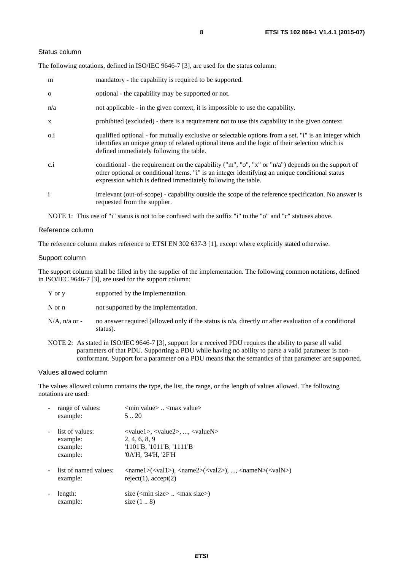#### Status column

The following notations, defined in ISO/IEC 9646-7 [\[3](#page-4-0)], are used for the status column:

| m            | mandatory - the capability is required to be supported.                                                                                                                                                                                                               |
|--------------|-----------------------------------------------------------------------------------------------------------------------------------------------------------------------------------------------------------------------------------------------------------------------|
| $\Omega$     | optional - the capability may be supported or not.                                                                                                                                                                                                                    |
| n/a          | not applicable - in the given context, it is impossible to use the capability.                                                                                                                                                                                        |
| $\mathbf{X}$ | prohibited (excluded) - there is a requirement not to use this capability in the given context.                                                                                                                                                                       |
| $0.\dot{1}$  | qualified optional - for mutually exclusive or selectable options from a set. "i" is an integer which<br>identifies an unique group of related optional items and the logic of their selection which is<br>defined immediately following the table.                   |
| c.i          | conditional - the requirement on the capability ("m", "o", "x" or "n/a") depends on the support of<br>other optional or conditional items. "i" is an integer identifying an unique conditional status<br>expression which is defined immediately following the table. |
| $\mathbf{i}$ | irrelevant (out-of-scope) - capability outside the scope of the reference specification. No answer is<br>requested from the supplier.                                                                                                                                 |

NOTE 1: This use of "i" status is not to be confused with the suffix "i" to the "o" and "c" statuses above.

#### Reference column

The reference column makes reference to ETSI EN 302 637-3 [[1\]](#page-4-0), except where explicitly stated otherwise.

#### Support column

The support column shall be filled in by the supplier of the implementation. The following common notations, defined in ISO/IEC 9646-7 [[3\]](#page-4-0), are used for the support column:

| Y or v | supported by the implementation. |  |
|--------|----------------------------------|--|
|        |                                  |  |

- N or n not supported by the implementation.
- $N/A$ , n/a or no answer required (allowed only if the status is n/a, directly or after evaluation of a conditional status).
- NOTE 2: As stated in ISO/IEC 9646-7 [[3](#page-4-0)], support for a received PDU requires the ability to parse all valid parameters of that PDU. Supporting a PDU while having no ability to parse a valid parameter is nonconformant. Support for a parameter on a PDU means that the semantics of that parameter are supported.

#### Values allowed column

The values allowed column contains the type, the list, the range, or the length of values allowed. The following notations are used:

|                | range of values:<br>example:                        | $\leq$ min value $>$ $\leq$ max value $>$<br>520                                                                                                                                                            |
|----------------|-----------------------------------------------------|-------------------------------------------------------------------------------------------------------------------------------------------------------------------------------------------------------------|
| $\blacksquare$ | list of values:<br>example:<br>example:<br>example: | $\langle \text{value1}\rangle, \langle \text{value2}\rangle, , \langle \text{valueN}\rangle$<br>2, 4, 6, 8, 9<br>$'1101'B$ , $'1011'B$ , $'1111'B$<br>'0A'H, '34'H, '2F'H                                   |
|                | list of named values:<br>example:                   | $\langle \text{name1}\rangle(\langle \text{val1}\rangle)$ , $\langle \text{name2}\rangle(\langle \text{val2}\rangle)$ , , $\langle \text{nameN}\rangle(\langle \text{valN}\rangle)$<br>reject(1), accept(2) |
|                | length:<br>example:                                 | size $(\text{cm} \cdot \text{size} \times \text{cm} \cdot \text{max} \cdot \text{size})$<br>size $(18)$                                                                                                     |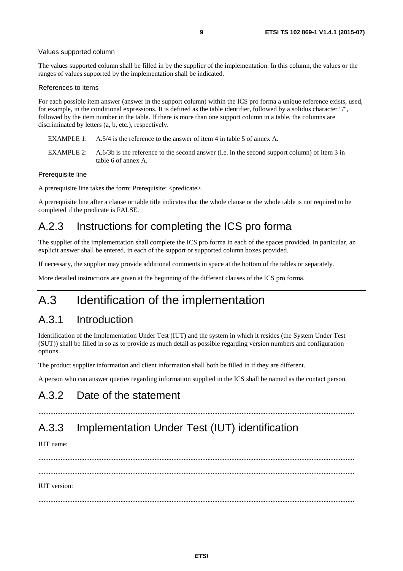#### <span id="page-8-0"></span>Values supported column

The values supported column shall be filled in by the supplier of the implementation. In this column, the values or the ranges of values supported by the implementation shall be indicated.

#### References to items

For each possible item answer (answer in the support column) within the ICS pro forma a unique reference exists, used, for example, in the conditional expressions. It is defined as the table identifier, followed by a solidus character "/", followed by the item number in the table. If there is more than one support column in a table, the columns are discriminated by letters (a, b, etc.), respectively.

- EXAMPLE 1: A.5/4 is the reference to the answer of item 4 in table 5 of annex A.
- EXAMPLE 2: A.6/3b is the reference to the second answer (i.e. in the second support column) of item 3 in table 6 of annex A.

#### Prerequisite line

A prerequisite line takes the form: Prerequisite: <predicate>.

A prerequisite line after a clause or table title indicates that the whole clause or the whole table is not required to be completed if the predicate is FALSE.

### A.2.3 Instructions for completing the ICS pro forma

The supplier of the implementation shall complete the ICS pro forma in each of the spaces provided. In particular, an explicit answer shall be entered, in each of the support or supported column boxes provided.

If necessary, the supplier may provide additional comments in space at the bottom of the tables or separately.

More detailed instructions are given at the beginning of the different clauses of the ICS pro forma.

# A.3 Identification of the implementation

### A.3.1 Introduction

Identification of the Implementation Under Test (IUT) and the system in which it resides (the System Under Test (SUT)) shall be filled in so as to provide as much detail as possible regarding version numbers and configuration options.

The product supplier information and client information shall both be filled in if they are different.

A person who can answer queries regarding information supplied in the ICS shall be named as the contact person.

### A.3.2 Date of the statement

### A.3.3 Implementation Under Test (IUT) identification

IUT name:

 ......................................................................................................................................................................................... ......................................................................................................................................................................................... IUT version:

.........................................................................................................................................................................................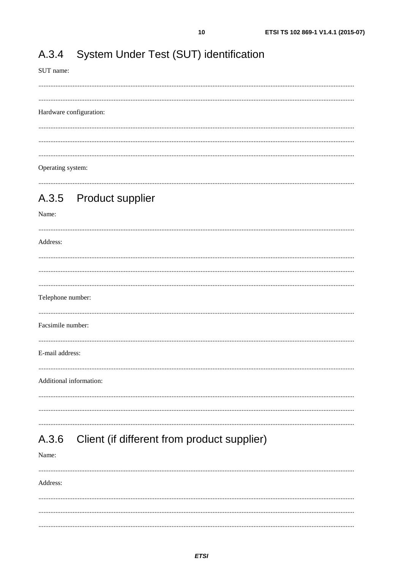#### <span id="page-9-0"></span>System Under Test (SUT) identification A.3.4

SUT name:

 $10$ 

### Hardware configuration:

 $\frac{1}{2}$  . The contract of the contract of the contract of the contract of the contract of the contract of the contract of the contract of the contract of the contract of the contract of the contract of the contract of t Operating system:

### 

#### A.3.5 **Product supplier**

### Name:

Address: Telephone number: Facsimile number: E-mail address: Additional information: 

#### Client (if different from product supplier) A.3.6

Name:

Address: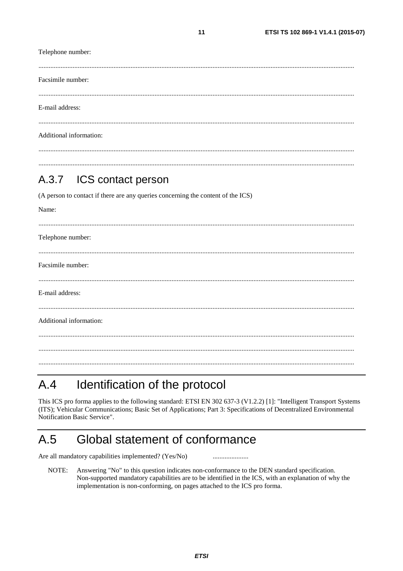<span id="page-10-0"></span>Telephone number: Facsimile number: E-mail address: Additional information:

 $11$ 

#### ICS contact person  $A.3.7$

(A person to contact if there are any queries concerning the content of the ICS)

| Name:                   |
|-------------------------|
|                         |
| Telephone number:       |
|                         |
| Facsimile number:       |
|                         |
| E-mail address:         |
|                         |
| Additional information: |
|                         |
|                         |
|                         |

#### Identification of the protocol  $A.4$

This ICS pro forma applies to the following standard: ETSI EN 302 637-3 (V1.2.2) [1]: "Intelligent Transport Systems (ITS); Vehicular Communications; Basic Set of Applications; Part 3: Specifications of Decentralized Environmental Notification Basic Service".

#### $A.5$ Global statement of conformance

Are all mandatory capabilities implemented? (Yes/No)

NOTE: Answering "No" to this question indicates non-conformance to the DEN standard specification. Non-supported mandatory capabilities are to be identified in the ICS, with an explanation of why the implementation is non-conforming, on pages attached to the ICS pro forma.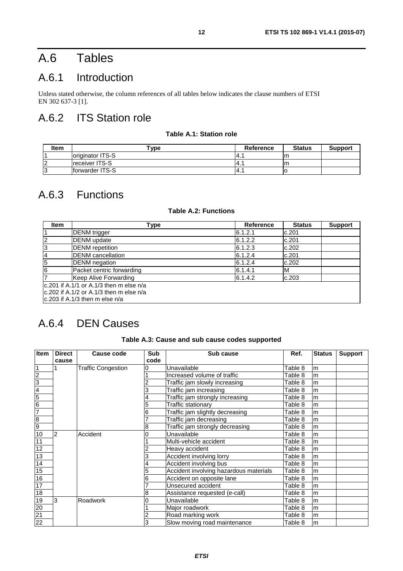# <span id="page-11-0"></span>A.6 Tables

# A.6.1 Introduction

Unless stated otherwise, the column references of all tables below indicates the clause numbers of ETSI EN 302 637-3 [\[1](#page-4-0)].

# A.6.2 ITS Station role

### **Table A.1: Station role**

| <b>Item</b> | $^{\mathsf{vpe}}$       | <b>Reference</b> | <b>Status</b> | <b>Support</b> |
|-------------|-------------------------|------------------|---------------|----------------|
|             | loriginator ITS-S       | -4.,             | m             |                |
|             | <b>Ireceiver ITS-S</b>  | $-4.$            |               |                |
|             | <b>Iforwarder ITS-S</b> | $-4.$            |               |                |

### A.6.3 Functions

### **Table A.2: Functions**

| <b>Item</b>                               | Type                                           | Reference | <b>Status</b> | <b>Support</b> |  |  |  |  |
|-------------------------------------------|------------------------------------------------|-----------|---------------|----------------|--|--|--|--|
|                                           | <b>DENM</b> trigger                            | 6.1.2.1   | c.201         |                |  |  |  |  |
| $\overline{2}$                            | <b>DENM</b> update                             | 6.1.2.2   | c.201         |                |  |  |  |  |
| 3                                         | <b>DENM</b> repetition                         | 6.1.2.3   | c.202         |                |  |  |  |  |
| $\overline{4}$                            | DENM cancellation                              | 6.1.2.4   | c.201         |                |  |  |  |  |
| 5                                         | DENM negation                                  | 6.1.2.4   | c.202         |                |  |  |  |  |
| 6                                         | Packet centric forwarding                      | 6.1.4.1   | ιм            |                |  |  |  |  |
| 7                                         | Keep Alive Forwarding                          | 6.1.4.2   | c.203         |                |  |  |  |  |
| $c.201$ if A.1/1 or A.1/3 then m else n/a |                                                |           |               |                |  |  |  |  |
|                                           | $\rm lc.202$ if A.1/2 or A.1/3 then m else n/a |           |               |                |  |  |  |  |
|                                           | $\vert$ c.203 if A.1/3 then m else n/a         |           |               |                |  |  |  |  |

### A.6.4 DEN Causes

### **Table A.3: Cause and sub cause codes supported**

| <b>Item</b>                                                      | <b>Direct</b> | Cause code         | <b>Sub</b> | Sub cause                              | Ref.    | <b>Status</b> | <b>Support</b> |
|------------------------------------------------------------------|---------------|--------------------|------------|----------------------------------------|---------|---------------|----------------|
|                                                                  | cause         |                    | code       |                                        |         |               |                |
| $\overline{1}$                                                   |               | Traffic Congestion |            | Unavailable                            | Table 8 | lm.           |                |
|                                                                  |               |                    |            | Increased volume of traffic            | Table 8 | lm.           |                |
| $\frac{2}{7}$<br>$\frac{4}{5}$<br>$\frac{4}{5}$<br>$\frac{4}{7}$ |               |                    |            | Traffic jam slowly increasing          | Table 8 | lm.           |                |
|                                                                  |               |                    |            | Traffic jam increasing                 | Table 8 | lm.           |                |
|                                                                  |               |                    |            | Traffic jam strongly increasing        | Table 8 | lm.           |                |
|                                                                  |               |                    |            | Traffic stationarv                     | Table 8 | lm.           |                |
|                                                                  |               |                    |            | Traffic jam slightly decreasing        | Table 8 | lm.           |                |
| $\frac{8}{9}$                                                    |               |                    |            | Traffic jam decreasing                 | Table 8 | m             |                |
|                                                                  |               |                    | 8          | Traffic jam strongly decreasing        | Table 8 | lm.           |                |
| 10                                                               | 2             | Accident           |            | Unavailable                            | Table 8 | m             |                |
| 11                                                               |               |                    |            | Multi-vehicle accident                 | Table 8 | lm.           |                |
| $\frac{12}{13}$                                                  |               |                    |            | Heavy accident                         | Table 8 | lm.           |                |
|                                                                  |               |                    |            | Accident involving lorry               | Table 8 | lm.           |                |
|                                                                  |               |                    |            | Accident involving bus                 | Table 8 | lm.           |                |
|                                                                  |               |                    |            | Accident involving hazardous materials | Table 8 | lm.           |                |
| $\frac{14}{15}$<br>$\frac{16}{17}$                               |               |                    |            | Accident on opposite lane              | Table 8 | lm.           |                |
|                                                                  |               |                    |            | Unsecured accident                     | Table 8 | lm.           |                |
| 18                                                               |               |                    | 8          | Assistance requested (e-call)          | Table 8 | m             |                |
|                                                                  | 3             | Roadwork           |            | Unavailable                            | Table 8 | m             |                |
|                                                                  |               |                    |            | Major roadwork                         | Table 8 | m             |                |
| $\frac{19}{20}$<br>$\frac{21}{22}$                               |               |                    |            | Road marking work                      | Table 8 | lm.           |                |
|                                                                  |               |                    |            | Slow moving road maintenance           | Table 8 | m             |                |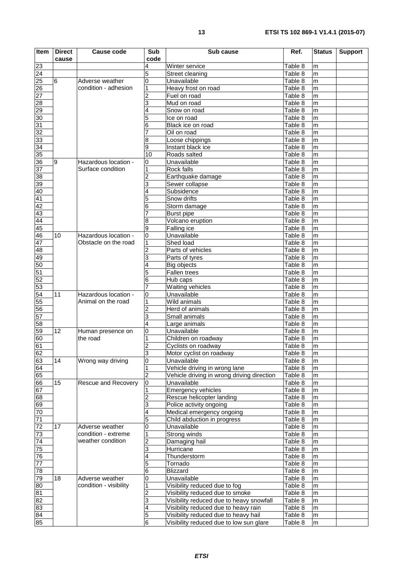| Item                                                                  | <b>Direct</b><br>cause | <b>Cause code</b>             | <b>Sub</b><br>code  | Sub cause                                  | Ref.               | <b>Status</b> | <b>Support</b> |
|-----------------------------------------------------------------------|------------------------|-------------------------------|---------------------|--------------------------------------------|--------------------|---------------|----------------|
| 23                                                                    |                        |                               | 4                   | Winter service                             | Table 8            | m             |                |
| $\overline{24}$                                                       |                        |                               | 5                   | Street cleaning                            | Table 8            | m             |                |
|                                                                       | $6\phantom{.}6$        | Adverse weather               | 0                   | Unavailable                                | Table 8            | m             |                |
| 25<br>26<br>27<br>28<br>29<br>30<br>31<br>32<br>33                    |                        | condition - adhesion          |                     | Heavy frost on road                        | Table 8            | m             |                |
|                                                                       |                        |                               |                     | Fuel on road                               | Table 8            | m             |                |
|                                                                       |                        |                               |                     | Mud on road                                | Table 8            | m             |                |
|                                                                       |                        |                               |                     | Snow on road                               | Table 8            | m             |                |
|                                                                       |                        |                               |                     | Ice on road                                | Table 8            | m             |                |
|                                                                       |                        |                               | 6                   | Black ice on road                          | Table 8            | m             |                |
|                                                                       |                        |                               |                     | Oil on road                                | Table 8            | m             |                |
|                                                                       |                        |                               | 8                   | Loose chippings                            | Table 8            | m             |                |
|                                                                       |                        |                               | 9                   | Instant black ice                          | Table 8            | m             |                |
| $\frac{34}{35}$                                                       |                        |                               | 10                  | Roads salted                               | Table 8            | m             |                |
| 36                                                                    | 9                      | Hazardous location -          | 0                   | Unavailable                                | Table 8            | m             |                |
| $\frac{37}{38}$                                                       |                        | Surface condition             |                     | Rock falls                                 | Table 8            | m             |                |
|                                                                       |                        |                               |                     | Earthquake damage                          | Table 8            | m             |                |
| 39                                                                    |                        |                               |                     | Sewer collapse                             | Table 8            | m             |                |
| 40                                                                    |                        |                               |                     | Subsidence                                 | Table 8            | m             |                |
|                                                                       |                        |                               |                     | Snow drifts                                | Table 8            | m             |                |
|                                                                       |                        |                               | 6                   | Storm damage                               | Table 8            | m             |                |
| $\frac{41}{42}$<br>$\frac{42}{43}$                                    |                        |                               |                     | <b>Burst pipe</b>                          | Table 8            | m             |                |
| 44                                                                    |                        |                               |                     | Volcano eruption                           | Table 8            | m             |                |
| 45                                                                    |                        |                               | 9                   | Falling ice                                | Table 8            | m             |                |
| 46                                                                    | 10                     | Hazardous location -          | 0                   | Unavailable                                | Table 8            | m             |                |
| $\frac{47}{48}$                                                       |                        | Obstacle on the road          |                     | Shed load                                  | Table 8            | m             |                |
|                                                                       |                        |                               |                     | Parts of vehicles                          | Table 8            | m             |                |
| $\frac{49}{50}$ $\frac{50}{52}$ $\frac{52}{53}$                       |                        |                               |                     | Parts of tyres                             | Table 8            | m             |                |
|                                                                       |                        |                               |                     | Big objects                                | Table 8            | m             |                |
|                                                                       |                        |                               |                     | Fallen trees                               | Table 8            | m             |                |
|                                                                       |                        |                               | 6                   | Hub caps                                   | Table 8            | m             |                |
|                                                                       |                        |                               |                     | Waiting vehicles                           | Table 8            | m             |                |
| $\frac{54}{55}$                                                       | 11                     | Hazardous location -          | 0                   | Unavailable                                | Table 8            | m             |                |
|                                                                       |                        | Animal on the road            |                     | Wild animals                               | Table 8            | m             |                |
|                                                                       |                        |                               |                     | Herd of animals                            | Table 8            | m             |                |
| 57                                                                    |                        |                               | 3                   | Small animals                              | Table 8            | m             |                |
| 58                                                                    | $\overline{12}$        |                               | 4                   | Large animals                              | Table 8            | m             |                |
| 59                                                                    |                        | Human presence on<br>the road | 0                   | Unavailable                                | Table 8<br>Table 8 | m             |                |
| 60<br>61                                                              |                        |                               | 2                   | Children on roadway                        | Table 8            | m<br>m        |                |
|                                                                       |                        |                               |                     | Cyclists on roadway                        | Table 8            |               |                |
| 62                                                                    | $\overline{14}$        | Wrong way driving             | 3<br>$\overline{0}$ | Motor cyclist on roadway<br>Unavailable    | Table 8            | m<br>m        |                |
|                                                                       |                        |                               |                     | Vehicle driving in wrong lane              | Table 8            | m             |                |
| $\begin{array}{c} \boxed{63} \\ \boxed{64} \\ \boxed{65} \end{array}$ |                        |                               | 2                   | Vehicle driving in wrong driving direction | Table 8            | m             |                |
| 66                                                                    | 15                     | Rescue and Recovery           | $\mathbf 0$         | Unavailable                                | Table 8            | m             |                |
|                                                                       |                        |                               |                     | <b>Emergency vehicles</b>                  | Table 8            | m             |                |
| 67<br>68<br>69<br>70                                                  |                        |                               |                     | Rescue helicopter landing                  | Table 8            | m             |                |
|                                                                       |                        |                               | 3                   | Police activity ongoing                    | Table 8            | m             |                |
|                                                                       |                        |                               |                     | Medical emergency ongoing                  | Table 8            | m             |                |
| $\overline{71}$                                                       |                        |                               | 5                   | Child abduction in progress                | Table 8            | m             |                |
|                                                                       | 17                     | Adverse weather               | 0                   | Unavailable                                | Table 8            | m             |                |
|                                                                       |                        | condition - extreme           |                     | Strong winds                               | Table 8            | m             |                |
| 72<br>73<br>74<br>75<br>76<br>77<br>78                                |                        | weather condition             |                     | Damaging hail                              | Table 8            | m             |                |
|                                                                       |                        |                               | 3                   | Hurricane                                  | Table 8            | m             |                |
|                                                                       |                        |                               |                     | Thunderstorm                               | Table 8            | m             |                |
|                                                                       |                        |                               | 5                   | Tornado                                    | Table 8            | m             |                |
|                                                                       |                        |                               | 6                   | <b>Blizzard</b>                            | Table 8            | m             |                |
| $\frac{79}{80}$                                                       | 18                     | Adverse weather               | 0                   | Unavailable                                | Table 8            | m             |                |
|                                                                       |                        | condition - visibility        |                     | Visibility reduced due to fog              | Table 8            | m             |                |
| 81                                                                    |                        |                               |                     | Visibility reduced due to smoke            | Table 8            | m             |                |
| 82                                                                    |                        |                               | 3                   | Visibility reduced due to heavy snowfall   | Table 8            | m             |                |
| 83<br>84<br>85                                                        |                        |                               | 4                   | Visibility reduced due to heavy rain       | Table 8            | m             |                |
|                                                                       |                        |                               | 5                   | Visibility reduced due to heavy hail       | Table 8            | m             |                |
|                                                                       |                        |                               | $\overline{6}$      | Visibility reduced due to low sun glare    | Table 8            | m             |                |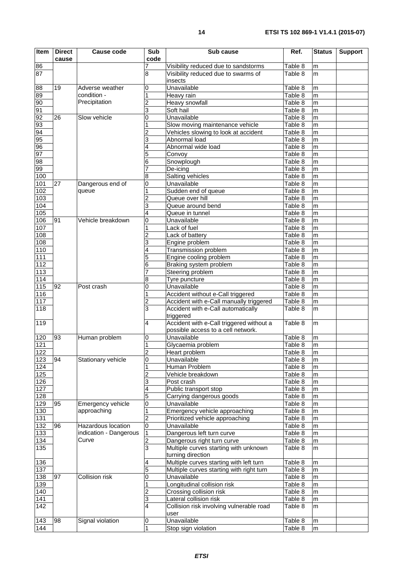| <b>Item</b>       | <b>Direct</b> | <b>Cause code</b>      | Sub            | Sub cause                                                                      | Ref.               | <b>Status</b>  | <b>Support</b> |
|-------------------|---------------|------------------------|----------------|--------------------------------------------------------------------------------|--------------------|----------------|----------------|
|                   | cause         |                        | code           |                                                                                |                    |                |                |
| 86                |               |                        |                | Visibility reduced due to sandstorms                                           | Table 8            | m              |                |
| 87                |               |                        | 8              | Visibility reduced due to swarms of<br>insects                                 | Table 8            | m              |                |
| 88                | 19            | Adverse weather        | 0              | Unavailable                                                                    | Table 8            | m              |                |
| 89                |               | condition -            |                | Heavy rain                                                                     | Table 8            | m              |                |
| 90                |               | Precipitation          | 2              | Heavy snowfall                                                                 | Table 8            | m              |                |
| 91                |               |                        | 3              | Soft hail                                                                      | Table 8            | m              |                |
| 92                | 26            | Slow vehicle           | 0              | Unavailable                                                                    | Table 8            | m              |                |
| 93                |               |                        |                | Slow moving maintenance vehicle                                                | Table 8            | m              |                |
| 94                |               |                        |                | Vehicles slowing to look at accident                                           | Table 8            | m              |                |
| 95                |               |                        | 3              | Abnormal load                                                                  | Table 8            | m              |                |
| 96                |               |                        |                | Abnormal wide load                                                             | Table 8            | m              |                |
| 97                |               |                        | 5              | Convoy                                                                         | Table 8            | m              |                |
| 98                |               |                        | 6              | Snowplough                                                                     | Table 8<br>Table 8 | m              |                |
| 99<br>100         |               |                        | 8              | De-icing<br>Salting vehicles                                                   | Table 8            | m<br>m         |                |
| 101               | 27            | Dangerous end of       | 0              | Unavailable                                                                    | Table 8            | m              |                |
| 102               |               | queue                  |                | Sudden end of queue                                                            | Table 8            | m              |                |
| 103               |               |                        | 2              | Queue over hill                                                                | Table 8            | m              |                |
| 104               |               |                        | 3              | Queue around bend                                                              | Table 8            | m              |                |
| $\frac{1}{105}$   |               |                        | 4              | Queue in tunnel                                                                | Table 8            | m              |                |
| 106               | 91            | Vehicle breakdown      | 0              | Unavailable                                                                    | Table 8            | m              |                |
| 107               |               |                        |                | Lack of fuel                                                                   | Table 8            | m              |                |
| 108               |               |                        |                | Lack of battery                                                                | Table 8            | m              |                |
| $\frac{108}{ }$   |               |                        | 3              | Engine problem                                                                 | Table 8            | m              |                |
| 110               |               |                        |                | Transmission problem                                                           | Table 8            | m              |                |
| 111               |               |                        | 5              | Engine cooling problem                                                         | Table 8            | m              |                |
| 112               |               |                        | 6              | Braking system problem                                                         | Table 8            | m              |                |
| 113               |               |                        |                | Steering problem                                                               | Table 8            | m              |                |
| 114               |               |                        | 8              | Tyre puncture                                                                  | Table 8            | m              |                |
| 115               | 92            | Post crash             | 0              | Unavailable                                                                    | Table 8            | m              |                |
| 116               |               |                        |                | Accident without e-Call triggered                                              | Table 8            | m              |                |
| 117               |               |                        | 2              | Accident with e-Call manually triggered                                        | Table 8            | m              |                |
| 118               |               |                        | 3              | Accident with e-Call automatically<br>triggered                                | Table 8            | m              |                |
| 119               |               |                        | 4              | Accident with e-Call triggered without a<br>possible access to a cell network. | Table 8            | m              |                |
| 120               | 93            | Human problem          | 0              | Unavailable                                                                    | Table 8            | m              |                |
| 121               |               |                        | 1              | Glycaemia problem                                                              | Table 8            | m              |                |
| 122               |               |                        | $\overline{2}$ | Heart problem                                                                  | Table 8            | $\overline{m}$ |                |
| 123               | 94            | Stationary vehicle     | 0              | Unavailable                                                                    | Table 8            | m              |                |
| 124               |               |                        |                | Human Problem                                                                  | Table 8            | m              |                |
| 125               |               |                        |                | Vehicle breakdown                                                              | Table 8            | m              |                |
| 126               |               |                        | 3              | Post crash                                                                     | Table 8            | m              |                |
| 127               |               |                        | 4              | Public transport stop                                                          | Table 8            | m              |                |
| 128               |               |                        | 5              | Carrying dangerous goods                                                       | Table 8            | m              |                |
| 129               | 95            | Emergency vehicle      | 0              | Unavailable                                                                    | Table 8            | m              |                |
| <u>130</u><br>131 |               | approaching            | 2              | Emergency vehicle approaching<br>Prioritized vehicle approaching               | Table 8<br>Table 8 | m              |                |
| 132               | 96            | Hazardous location     | 0              | Unavailable                                                                    | Table 8            | m<br>m         |                |
| 133               |               | indication - Dangerous | 1              | Dangerous left turn curve                                                      | Table 8            | m              |                |
| 134               |               | Curve                  | 2              | Dangerous right turn curve                                                     | Table 8            | m              |                |
| 135               |               |                        | 3              | Multiple curves starting with unknown                                          | Table 8            | m              |                |
|                   |               |                        |                | turning direction                                                              |                    |                |                |
| 136               |               |                        | 4              | Multiple curves starting with left turn                                        | Table 8            | m              |                |
| 137               |               |                        | 5              | Multiple curves starting with right turn                                       | Table 8            | m              |                |
| 138               | 97            | Collision risk         | 0              | Unavailable                                                                    | Table 8            | m              |                |
| 139               |               |                        |                | Longitudinal collision risk                                                    | Table 8            | m              |                |
| 140               |               |                        | 2              | Crossing collision risk                                                        | Table 8            | m              |                |
| 141               |               |                        | 3              | Lateral collision risk                                                         | Table 8            | m              |                |
| 142               |               |                        | 4              | Collision risk involving vulnerable road<br>user                               | Table 8            | m              |                |
| 143               | 98            | Signal violation       | 0              | Unavailable                                                                    | Table 8            | m              |                |
| 144               |               |                        | 1              | Stop sign violation                                                            | Table 8            | m              |                |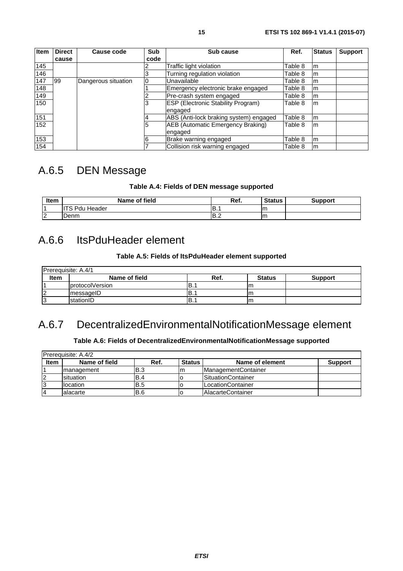<span id="page-14-0"></span>

| <b>Item</b> | <b>Direct</b> | Cause code          | Sub  | Sub cause                                 | Ref.    | <b>Status</b> | <b>Support</b> |
|-------------|---------------|---------------------|------|-------------------------------------------|---------|---------------|----------------|
|             | cause         |                     | code |                                           |         |               |                |
| 145         |               |                     |      | Traffic light violation                   | Table 8 | m             |                |
| 146         |               |                     |      | Turning regulation violation              | Table 8 | m             |                |
| 147         | 99            | Dangerous situation |      | Unavailable                               | Table 8 | m             |                |
| 148         |               |                     |      | Emergency electronic brake engaged        | Table 8 | m             |                |
| 149         |               |                     |      | Pre-crash system engaged                  | Table 8 | m             |                |
| 150         |               |                     |      | <b>ESP (Electronic Stability Program)</b> | Table 8 | m             |                |
|             |               |                     |      | engaged                                   |         |               |                |
| 151         |               |                     |      | ABS (Anti-lock braking system) engaged    | Table 8 | m             |                |
| 152         |               |                     | 5    | AEB (Automatic Emergency Braking)         | Table 8 | m             |                |
|             |               |                     |      | engaged                                   |         |               |                |
| 153         |               |                     |      | Brake warning engaged                     | Table 8 | m             |                |
| 154         |               |                     |      | Collision risk warning engaged            | Table 8 | m             |                |

# A.6.5 DEN Message

### **Table A.4: Fields of DEN message supported**

| Item    | Name of field                  | Ref. | Status | Support |
|---------|--------------------------------|------|--------|---------|
|         | <b>TR Pdu Fig.</b><br>. Header | IB.1 | m      |         |
| הו<br>⊢ | Denm                           | IB.2 | Im     |         |

### A.6.6 ItsPduHeader element

### **Table A.5: Fields of ItsPduHeader element supported**

| Prerequisite: A.4/1 |                         |      |               |                |  |
|---------------------|-------------------------|------|---------------|----------------|--|
| Item                | Name of field           | Ref. | <b>Status</b> | <b>Support</b> |  |
|                     | <b>IprotocolVersion</b> | IB.  | Im.           |                |  |
|                     | messageID               | 'B∴  | <b>Im</b>     |                |  |
|                     | stationID               | !Β.: | Im            |                |  |

# A.6.7 DecentralizedEnvironmentalNotificationMessage element

### **Table A.6: Fields of DecentralizedEnvironmentalNotificationMessage supported**

| <b>IPrerequisite: A.4/2</b> |                    |            |               |                            |                |
|-----------------------------|--------------------|------------|---------------|----------------------------|----------------|
| <b>Item</b>                 | Name of field      | Ref.       | <b>Status</b> | Name of element            | <b>Support</b> |
|                             | <b>Imanagement</b> | B.3        | Im            | ManagementContainer        |                |
| 12                          | <b>Isituation</b>  | <b>B.4</b> |               | <b>ISituationContainer</b> |                |
| 13                          | <b>Ilocation</b>   | B.5        |               | LocationContainer          |                |
| 14                          | lalacarte          | B.6        |               | <b>IAlacarteContainer</b>  |                |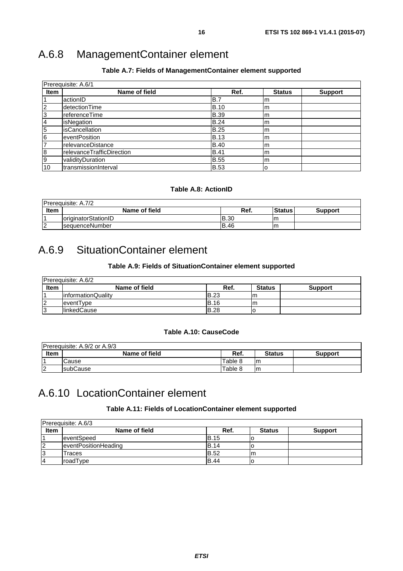# <span id="page-15-0"></span>A.6.8 ManagementContainer element

### **Table A.7: Fields of ManagementContainer element supported**

| Prerequisite: A.6/1 |                           |             |               |                |  |
|---------------------|---------------------------|-------------|---------------|----------------|--|
| <b>Item</b>         | Name of field             | Ref.        | <b>Status</b> | <b>Support</b> |  |
|                     | actionID                  | B.7         | m             |                |  |
| $\overline{2}$      | detectionTime             | <b>B.10</b> | m             |                |  |
| 3                   | referenceTime             | <b>B.39</b> | m             |                |  |
| 4                   | isNegation                | <b>B.24</b> | lm            |                |  |
| $\overline{5}$      | <i>isCancellation</i>     | <b>B.25</b> | lm            |                |  |
| 6                   | eventPosition             | <b>B.13</b> | lm            |                |  |
| $\overline{7}$      | relevanceDistance         | <b>B.40</b> | m             |                |  |
| 8                   | relevanceTrafficDirection | <b>B.41</b> | lm            |                |  |
| Ι9                  | validityDuration          | <b>B.55</b> | lm            |                |  |
| 10                  | transmissionInterval      | <b>B.53</b> | lo            |                |  |

### **Table A.8: ActionID**

|             | <b>Prerequisite: A.7/2</b>         |              |               |                |
|-------------|------------------------------------|--------------|---------------|----------------|
| <b>Item</b> | Name of field                      | Ref.         | <b>Status</b> | <b>Support</b> |
|             | <i><b>loriginatorStationID</b></i> | IB.30        | -Im           |                |
| $\sim$      | <b>IsequenceNumber</b>             | <b>IB.46</b> | -Im           |                |

# A.6.9 SituationContainer element

### **Table A.9: Fields of SituationContainer element supported**

|             | Prereguisite: A.6/2 |             |               |                |
|-------------|---------------------|-------------|---------------|----------------|
| <b>Item</b> | Name of field       | Ref.        | <b>Status</b> | <b>Support</b> |
|             | linformationQuality | IB.23       | Im            |                |
|             | eventType           | <b>B.16</b> | Im            |                |
| 13          | <b>IlinkedCause</b> | <b>B.28</b> | u             |                |

### **Table A.10: CauseCode**

|             | Prerequisite: A.9/2 or A.9/3 |         |                |                |
|-------------|------------------------------|---------|----------------|----------------|
| <b>Item</b> | Name of field                | Ref.    | <b>Status</b>  | <b>Support</b> |
|             | Cause                        | Table 8 | Im             |                |
| ▵           | <b>IsubCause</b>             | Table 8 | 1 <sub>m</sub> |                |

# A.6.10 LocationContainer element

#### **Table A.11: Fields of LocationContainer element supported**

| Prerequisite: A.6/3 |                      |             |               |                |  |
|---------------------|----------------------|-------------|---------------|----------------|--|
| <b>Item</b>         | Name of field        | Ref.        | <b>Status</b> | <b>Support</b> |  |
|                     | leventSpeed          | <b>B.15</b> |               |                |  |
| 12                  | eventPositionHeading | <b>B.14</b> |               |                |  |
| 13                  | Traces               | <b>B.52</b> | Im            |                |  |
| 14                  | roadType             | <b>B.44</b> |               |                |  |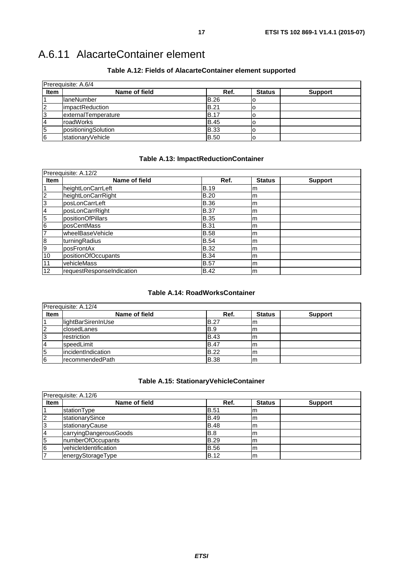<span id="page-16-0"></span>

| Prerequisite: A.6/4 |                         |             |               |                |  |
|---------------------|-------------------------|-------------|---------------|----------------|--|
| <b>Item</b>         | Name of field           | Ref.        | <b>Status</b> | <b>Support</b> |  |
|                     | <b>IlaneNumber</b>      | <b>B.26</b> |               |                |  |
| $\overline{2}$      | <b>limpactReduction</b> | <b>B.21</b> |               |                |  |
| 3                   | externalTemperature     | <b>B.17</b> | O             |                |  |
| 14                  | roadWorks               | <b>B.45</b> |               |                |  |
| 5                   | positioningSolution     | <b>B.33</b> |               |                |  |
| 6                   | stationaryVehicle       | <b>B.50</b> |               |                |  |

### **Table A.12: Fields of AlacarteContainer element supported**

### **Table A.13: ImpactReductionContainer**

| Prerequisite: A.12/2 |                           |             |               |                |  |
|----------------------|---------------------------|-------------|---------------|----------------|--|
| <b>Item</b>          | Name of field             | Ref.        | <b>Status</b> | <b>Support</b> |  |
|                      | heightLonCarrLeft         | <b>B.19</b> | Im            |                |  |
| $\overline{2}$       | heightLonCarrRight        | <b>B.20</b> | lm.           |                |  |
| 3                    | posLonCarrLeft            | <b>B.36</b> | lm.           |                |  |
| 4                    | posLonCarrRight           | <b>B.37</b> | Im            |                |  |
| $\overline{5}$       | positionOfPillars         | <b>B.35</b> | m             |                |  |
| 6                    | posCentMass               | <b>B.31</b> | lm            |                |  |
| $\overline{7}$       | wheelBaseVehicle          | <b>B.58</b> | Im            |                |  |
| $\boldsymbol{8}$     | turningRadius             | <b>B.54</b> | Im            |                |  |
| 9                    | posFrontAx                | <b>B.32</b> | lm            |                |  |
| 10                   | positionOfOccupants       | <b>B.34</b> | Im            |                |  |
| 11                   | vehicleMass               | <b>B.57</b> | lm            |                |  |
| 12                   | requestResponseIndication | <b>B.42</b> | m             |                |  |

### **Table A.14: RoadWorksContainer**

| Prerequisite: A.12/4 |                     |              |               |                |  |
|----------------------|---------------------|--------------|---------------|----------------|--|
| <b>Item</b>          | Name of field       | Ref.         | <b>Status</b> | <b>Support</b> |  |
|                      | lightBarSirenInUse  | <b>IB.27</b> | m             |                |  |
| $\overline{2}$       | <b>closedLanes</b>  | IB.9         | ım            |                |  |
| 3                    | restriction         | <b>B.43</b>  | Im            |                |  |
|                      | speedLimit          | <b>B.47</b>  | m             |                |  |
| 5                    | lincidentIndication | <b>B.22</b>  | m             |                |  |
| 16                   | IrecommendedPath    | <b>B.38</b>  | m             |                |  |

### **Table A.15: StationaryVehicleContainer**

| Prerequisite: A.12/6 |                              |             |               |                |  |
|----------------------|------------------------------|-------------|---------------|----------------|--|
| <b>Item</b>          | Name of field                | Ref.        | <b>Status</b> | <b>Support</b> |  |
|                      | stationType                  | <b>B.51</b> | Im            |                |  |
| $\overline{2}$       | stationarySince              | <b>B.49</b> | Im            |                |  |
| 3                    | stationaryCause              | <b>B.48</b> | Im            |                |  |
| $\overline{4}$       | carryingDangerousGoods       | B.8         | m             |                |  |
| 5                    | numberOfOccupants            | <b>B.29</b> | m             |                |  |
| 6                    | <b>vehicleIdentification</b> | <b>B.56</b> | m             |                |  |
|                      | energyStorageType            | <b>B.12</b> | m             |                |  |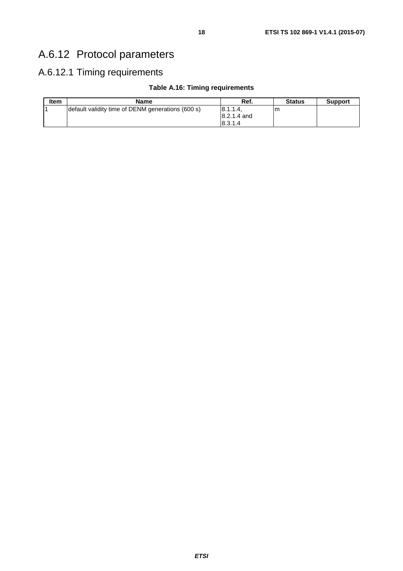# <span id="page-17-0"></span>A.6.12 Protocol parameters

### A.6.12.1 Timing requirements

### **Table A.16: Timing requirements**

| <b>Item</b> | <b>Name</b>                                       | Ref.          | <b>Status</b> | <b>Support</b> |
|-------------|---------------------------------------------------|---------------|---------------|----------------|
|             | default validity time of DENM generations (600 s) | 18.1.1.4      | ım            |                |
|             |                                                   | $8.2.1.4$ and |               |                |
|             |                                                   | 18.3.1.4      |               |                |